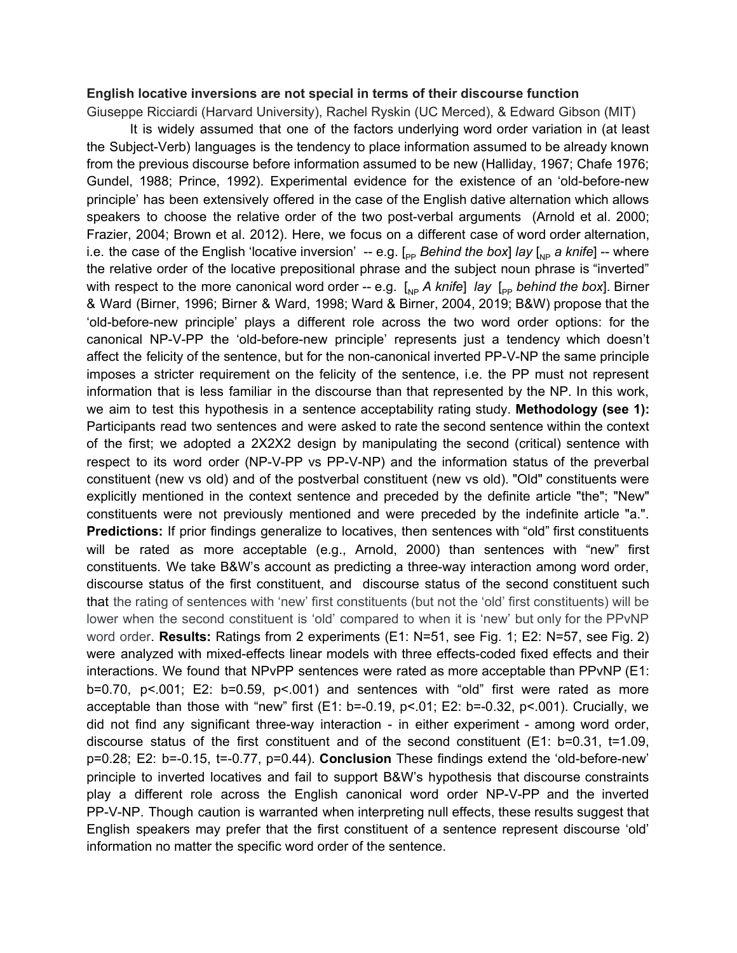# **English locative inversions are not special in terms of their discourse function**

Giuseppe Ricciardi (Harvard University), Rachel Ryskin (UC Merced), & Edward Gibson (MIT)

It is widely assumed that one of the factors underlying word order variation in (at least the Subject-Verb) languages is the tendency to place information assumed to be already known from the previous discourse before information assumed to be new (Halliday, 1967; Chafe 1976; Gundel, 1988; Prince, 1992). Experimental evidence for the existence of an 'old-before-new principle' has been extensively offered in the case of the English dative alternation which allows speakers to choose the relative order of the two post-verbal arguments (Arnold et al. 2000; Frazier, 2004; Brown et al. 2012). Here, we focus on a different case of word order alternation, i.e. the case of the English 'locative inversion' -- e.g.  $\left[_{\text{pp}}$  *Behind* the box] *lay*  $\left[_{\text{NP}}\right]$  *a knife*] -- where the relative order of the locative prepositional phrase and the subject noun phrase is "inverted" with respect to the more canonical word order -- e.g.  $\left[\begin{smallmatrix} 1 \\ 1 \end{smallmatrix}\right]$  *a*  $\left[\begin{smallmatrix} 1 \\ 2 \end{smallmatrix}\right]$  *p behind the box*]. Birner & Ward (Birner, 1996; Birner & Ward, 1998; Ward & Birner, 2004, 2019; B&W) propose that the 'old-before-new principle' plays a different role across the two word order options: for the canonical NP-V-PP the 'old-before-new principle' represents just a tendency which doesn't affect the felicity of the sentence, but for the non-canonical inverted PP-V-NP the same principle imposes a stricter requirement on the felicity of the sentence, i.e. the PP must not represent information that is less familiar in the discourse than that represented by the NP. In this work, we aim to test this hypothesis in a sentence acceptability rating study. **Methodology (see 1):** Participants read two sentences and were asked to rate the second sentence within the context of the first; we adopted a 2X2X2 design by manipulating the second (critical) sentence with respect to its word order (NP-V-PP vs PP-V-NP) and the information status of the preverbal constituent (new vs old) and of the postverbal constituent (new vs old). "Old" constituents were explicitly mentioned in the context sentence and preceded by the definite article "the"; "New" constituents were not previously mentioned and were preceded by the indefinite article "a.". **Predictions:** If prior findings generalize to locatives, then sentences with "old" first constituents will be rated as more acceptable (e.g., Arnold, 2000) than sentences with "new" first constituents. We take B&W's account as predicting a three-way interaction among word order, discourse status of the first constituent, and discourse status of the second constituent such that the rating of sentences with 'new' first constituents (but not the 'old' first constituents) will be lower when the second constituent is 'old' compared to when it is 'new' but only for the PPvNP word order. **Results:** Ratings from 2 experiments (E1: N=51, see Fig. 1; E2: N=57, see Fig. 2) were analyzed with mixed-effects linear models with three effects-coded fixed effects and their interactions. We found that NPvPP sentences were rated as more acceptable than PPvNP (E1: b=0.70, p<.001; E2: b=0.59, p<.001) and sentences with "old" first were rated as more acceptable than those with "new" first (E1: b=-0.19, p<.01; E2: b=-0.32, p<.001). Crucially, we did not find any significant three-way interaction - in either experiment - among word order, discourse status of the first constituent and of the second constituent (E1: b=0.31, t=1.09, p=0.28; E2: b=-0.15, t=-0.77, p=0.44). **Conclusion** These findings extend the 'old-before-new' principle to inverted locatives and fail to support B&W's hypothesis that discourse constraints play a different role across the English canonical word order NP-V-PP and the inverted PP-V-NP. Though caution is warranted when interpreting null effects, these results suggest that English speakers may prefer that the first constituent of a sentence represent discourse 'old' information no matter the specific word order of the sentence.